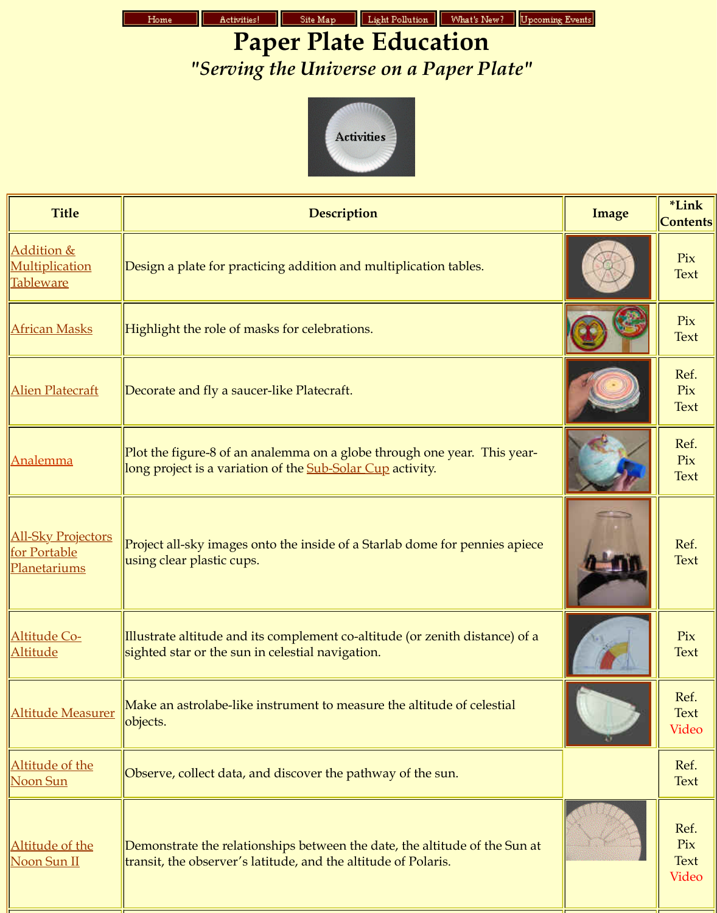| <u>lableware</u>                                          |                                                                                                                                       |
|-----------------------------------------------------------|---------------------------------------------------------------------------------------------------------------------------------------|
| <b>African Masks</b>                                      | Highlight the role of masks for celebrations.                                                                                         |
| <b>Alien Platecraft</b>                                   | Decorate and fly a saucer-like Platecraft.                                                                                            |
| Analemma                                                  | Plot the figure-8 of an analemma on a globe through one year. T<br>long project is a variation of the <b>Sub-Solar Cup</b> activity.  |
| <b>All-Sky Projectors</b><br>for Portable<br>Planetariums | Project all-sky images onto the inside of a Starlab dome for penn<br>using clear plastic cups.                                        |
| <u>Altitude Co-</u><br><b>Altitude</b>                    | Illustrate altitude and its complement co-altitude (or zenith dista<br>sighted star or the sun in celestial navigation.               |
| Altitude Measurer                                         | Make an astrolabe-like instrument to measure the altitude of cele<br>objects.                                                         |
| Altitude of the<br><u>Noon Sun</u>                        | Observe, collect data, and discover the pathway of the sun.                                                                           |
| Altitude of the<br>Noon Sun II                            | Demonstrate the relationships between the date, the altitude of the<br>transit, the observer's latitude, and the altitude of Polaris. |
|                                                           |                                                                                                                                       |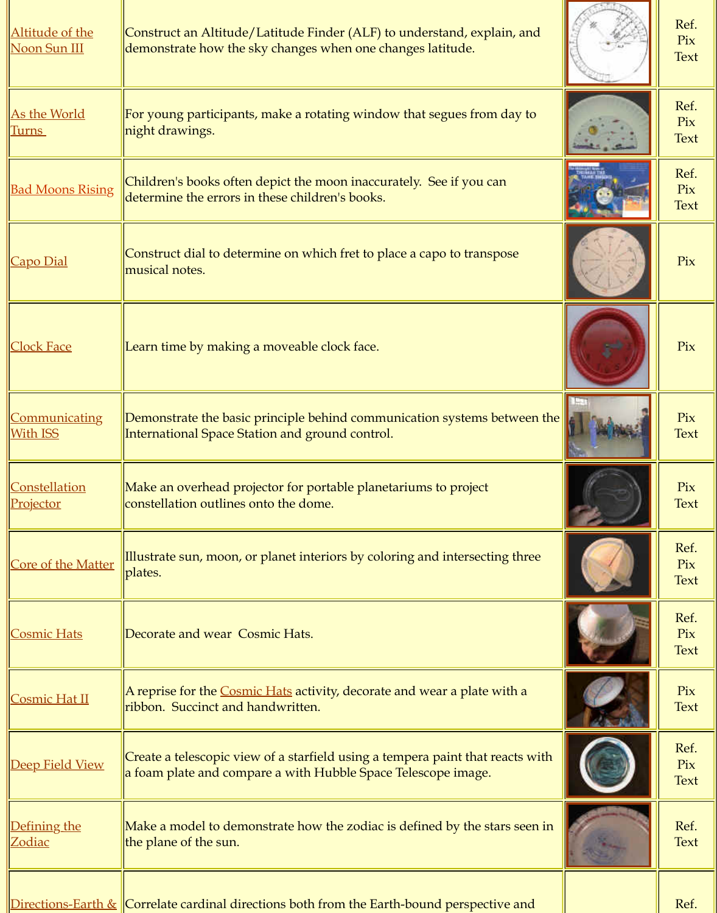| <b>Clock Face</b>                       | Learn time by making a moveable clock face.                                                                                         |
|-----------------------------------------|-------------------------------------------------------------------------------------------------------------------------------------|
| <b>Communicating</b><br><b>With ISS</b> | Demonstrate the basic principle behind communication systems<br>International Space Station and ground control.                     |
| <b>Constellation</b><br>Projector       | Make an overhead projector for portable planetariums to project<br>constellation outlines onto the dome.                            |
| Core of the Matter                      | Illustrate sun, moon, or planet interiors by coloring and intersect<br>plates.                                                      |
| <u> Cosmic Hats</u>                     | Decorate and wear Cosmic Hats.                                                                                                      |
| <b>Cosmic Hat II</b>                    | A reprise for the Cosmic Hats activity, decorate and wear a plate<br>ribbon. Succinct and handwritten.                              |
| Deep Field View                         | Create a telescopic view of a starfield using a tempera paint that<br>a foam plate and compare a with Hubble Space Telescope image. |
| Defining the<br>Zodiac                  | Make a model to demonstrate how the zodiac is defined by the s<br>the plane of the sun.                                             |
|                                         | <u> Directions-Earth &amp;</u>   Correlate cardinal directions both from the Earth-bound perspect                                   |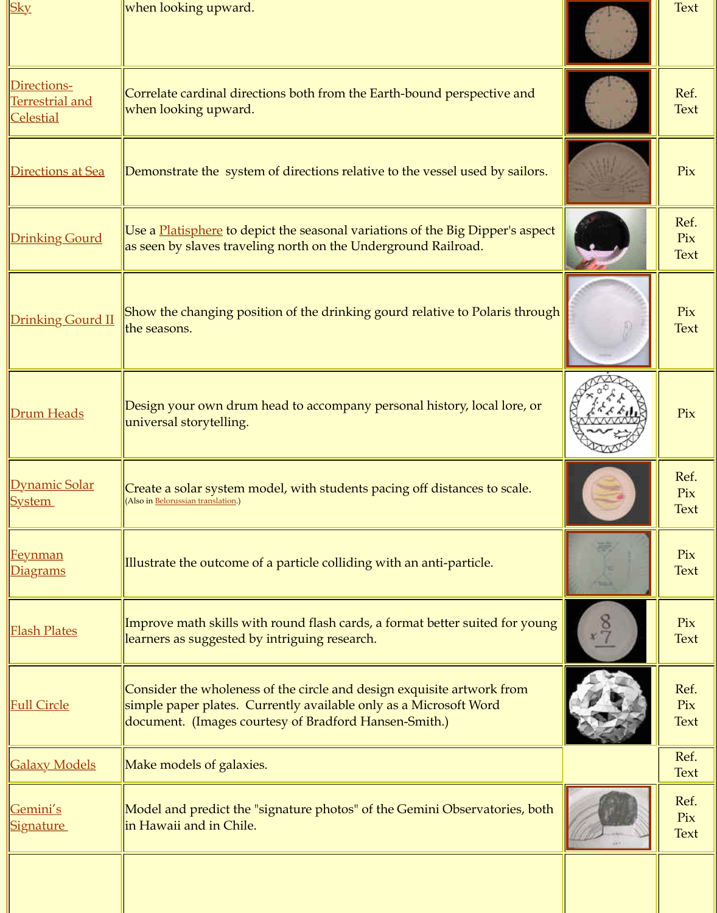| Drinking Gourd II              | Show the changing position of the drinking gourd relative to Pol<br>the seasons.                                                                                                              |
|--------------------------------|-----------------------------------------------------------------------------------------------------------------------------------------------------------------------------------------------|
| Drum Heads                     | Design your own drum head to accompany personal history, local<br>universal storytelling.                                                                                                     |
| Dynamic Solar<br><b>System</b> | Create a solar system model, with students pacing off distances t<br>(Also in Belorussian translation.)                                                                                       |
| <b>Feynman</b><br>Diagrams     | Illustrate the outcome of a particle colliding with an anti-particle                                                                                                                          |
| <b>Flash Plates</b>            | Improve math skills with round flash cards, a format better suite<br>learners as suggested by intriguing research.                                                                            |
| <b>Full Circle</b>             | Consider the wholeness of the circle and design exquisite artwor<br>simple paper plates. Currently available only as a Microsoft Wor<br>document. (Images courtesy of Bradford Hansen-Smith.) |
| <b>Galaxy Models</b>           | Make models of galaxies.                                                                                                                                                                      |
| Gemini's<br><b>Signature</b>   | Model and predict the "signature photos" of the Gemini Observa<br>in Hawaii and in Chile.                                                                                                     |
|                                |                                                                                                                                                                                               |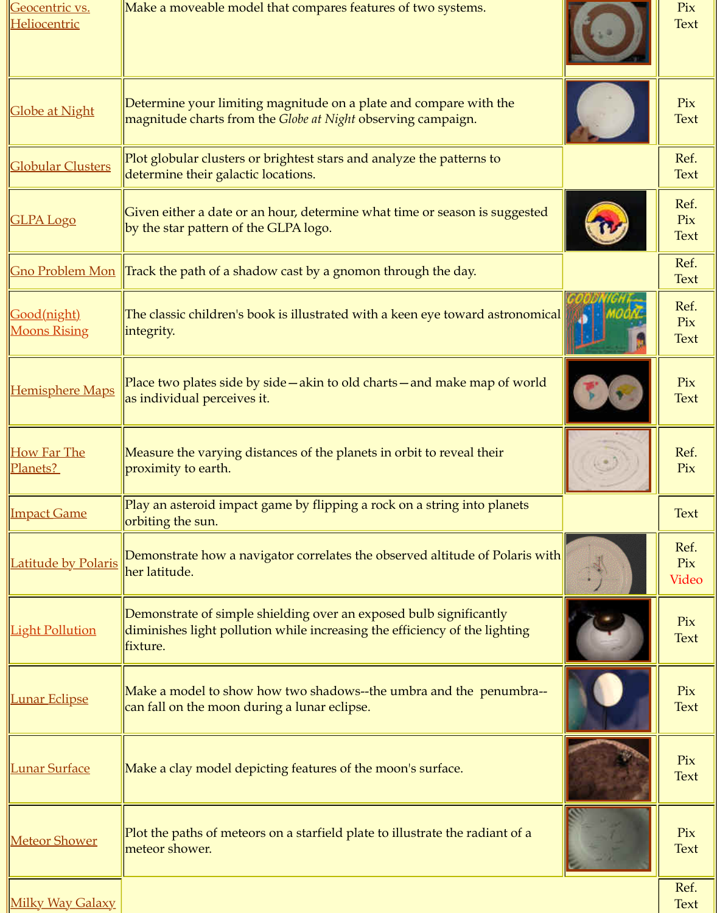| Good(night)<br><b>Moons Rising</b> | The classic children's book is illustrated with a keen eye toward a<br>integrity.                                                                   |
|------------------------------------|-----------------------------------------------------------------------------------------------------------------------------------------------------|
| Hemisphere Maps                    | Place two plates side by side — akin to old charts — and make map<br>as individual perceives it.                                                    |
| <b>How Far The</b><br>Planets?     | Measure the varying distances of the planets in orbit to reveal the<br>proximity to earth.                                                          |
| <b>Impact Game</b>                 | Play an asteroid impact game by flipping a rock on a string into<br>orbiting the sun.                                                               |
| <b>Latitude by Polaris</b>         | Demonstrate how a navigator correlates the observed altitude of<br>her latitude.                                                                    |
| <b>Light Pollution</b>             | Demonstrate of simple shielding over an exposed bulb significar<br>diminishes light pollution while increasing the efficiency of the li<br>fixture. |
| <b>Lunar Eclipse</b>               | Make a model to show how two shadows--the umbra and the pe<br>can fall on the moon during a lunar eclipse.                                          |
| <b>Lunar Surface</b>               | Make a clay model depicting features of the moon's surface.                                                                                         |
| <b>Meteor Shower</b>               | Plot the paths of meteors on a starfield plate to illustrate the radi<br>meteor shower.                                                             |
| <b>Milky Way Galaxy</b>            |                                                                                                                                                     |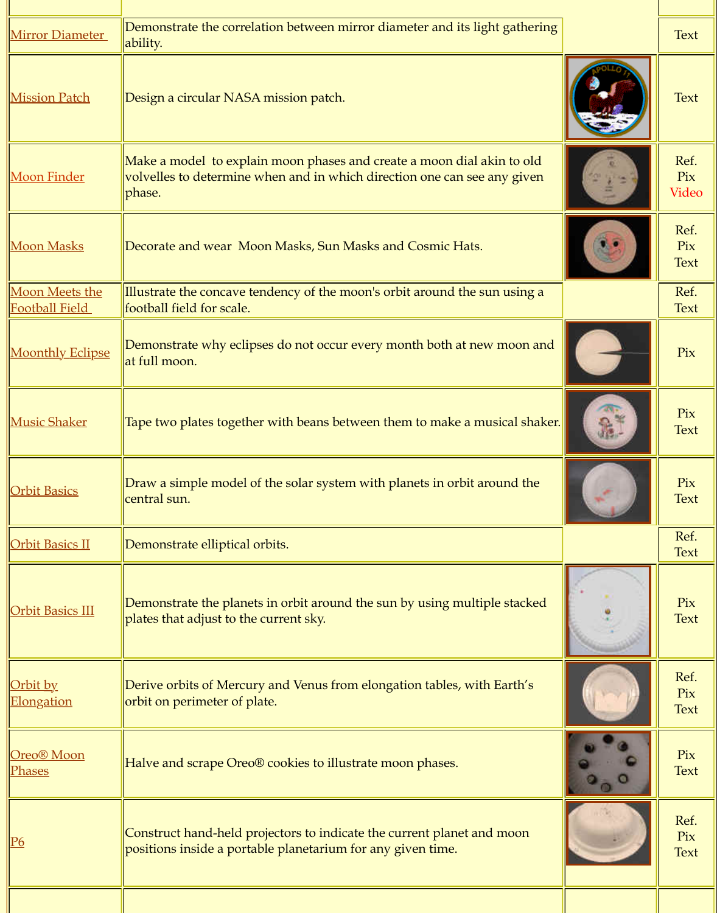| Moon Meets the<br><b>Football Field</b> | Illustrate the concave tendency of the moon's orbit around the su<br>football field for scale.                                   |
|-----------------------------------------|----------------------------------------------------------------------------------------------------------------------------------|
| <b>Moonthly Eclipse</b>                 | Demonstrate why eclipses do not occur every month both at new<br>at full moon.                                                   |
| <b>Music Shaker</b>                     | Tape two plates together with beans between them to make a mu                                                                    |
| <b>Orbit Basics</b>                     | Draw a simple model of the solar system with planets in orbit are<br>central sun.                                                |
| <b>Orbit Basics II</b>                  | Demonstrate elliptical orbits.                                                                                                   |
| <b>Orbit Basics III</b>                 | Demonstrate the planets in orbit around the sun by using multip<br>plates that adjust to the current sky.                        |
| <b>Orbit by</b><br><b>Elongation</b>    | Derive orbits of Mercury and Venus from elongation tables, with<br>orbit on perimeter of plate.                                  |
| Oreo <sup>®</sup> Moon<br><b>Phases</b> | Halve and scrape Oreo <sup>®</sup> cookies to illustrate moon phases.                                                            |
| P6                                      | Construct hand-held projectors to indicate the current planet and<br>positions inside a portable planetarium for any given time. |
|                                         |                                                                                                                                  |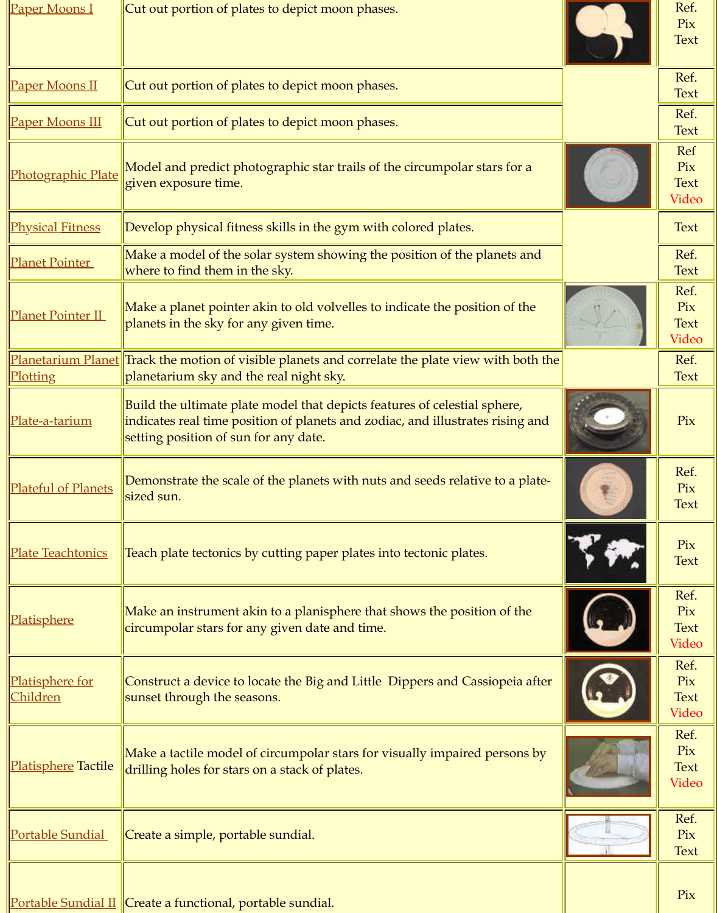| <b>Planet Pointer II</b>           | Make a planet pointer akin to old volvelles to indicate the positic<br>planets in the sky for any given time.                                                                        |
|------------------------------------|--------------------------------------------------------------------------------------------------------------------------------------------------------------------------------------|
| Plotting                           | <u>Planetarium Planet</u> Track the motion of visible planets and correlate the plate view w<br>planetarium sky and the real night sky.                                              |
| <u>Plate-a-tarium</u>              | Build the ultimate plate model that depicts features of celestial sp<br>indicates real time position of planets and zodiac, and illustrates<br>setting position of sun for any date. |
| <b>Plateful of Planets</b>         | Demonstrate the scale of the planets with nuts and seeds relative<br>sized sun.                                                                                                      |
| <b>Plate Teachtonics</b>           | Teach plate tectonics by cutting paper plates into tectonic plates.                                                                                                                  |
| <b>Platisphere</b>                 | Make an instrument akin to a planisphere that shows the position<br>circumpolar stars for any given date and time.                                                                   |
| Platisphere for<br><b>Children</b> | Construct a device to locate the Big and Little Dippers and Cassi<br>sunset through the seasons.                                                                                     |
| <b>Platisphere Tactile</b>         | Make a tactile model of circumpolar stars for visually impaired p<br>drilling holes for stars on a stack of plates.                                                                  |
| <u>Portable Sundial</u>            | Create a simple, portable sundial.                                                                                                                                                   |
|                                    | <u>Portable Sundial II</u> Create a functional, portable sundial.                                                                                                                    |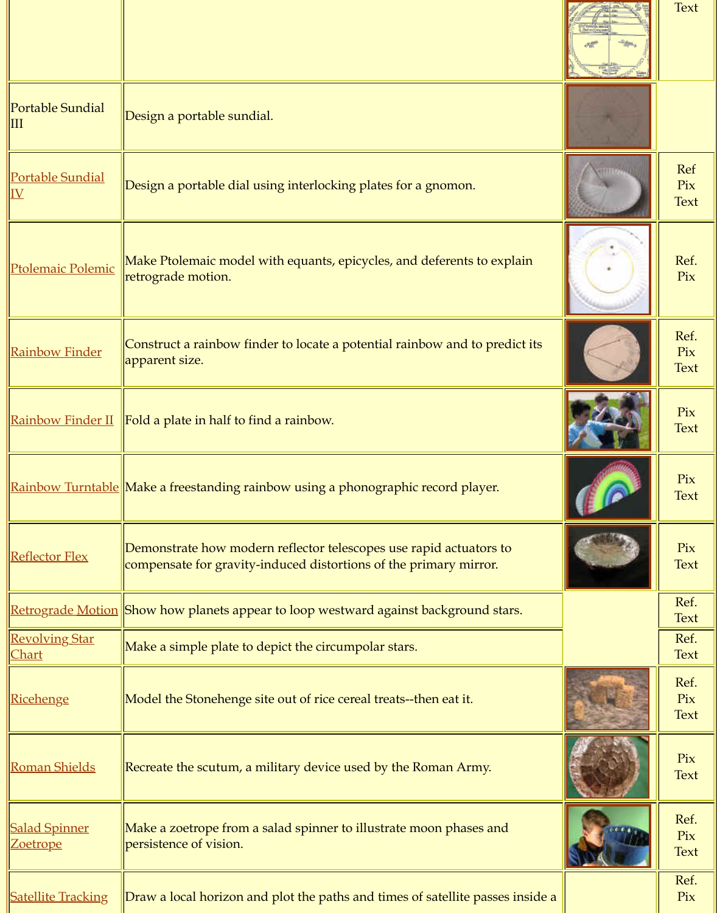|                                         | <u>ichograde</u> mondi.                                                                                                           |
|-----------------------------------------|-----------------------------------------------------------------------------------------------------------------------------------|
| <b>Rainbow Finder</b>                   | Construct a rainbow finder to locate a potential rainbow and to p<br>apparent size.                                               |
|                                         | <b>Rainbow Finder II</b>   Fold a plate in half to find a rainbow.                                                                |
|                                         | <b>Rainbow Turntable</b> Make a freestanding rainbow using a phonographic record playe                                            |
| <u>Reflector Flex</u>                   | Demonstrate how modern reflector telescopes use rapid actuator<br>compensate for gravity-induced distortions of the primary mirro |
|                                         | <u> Retrograde Motion</u>   Show how planets appear to loop westward against background                                           |
| <u>Revolving Star</u><br><b>Chart</b>   | Make a simple plate to depict the circumpolar stars.                                                                              |
| <u>Ricehenge</u>                        | Model the Stonehenge site out of rice cereal treats--then eat it.                                                                 |
| <b>Roman Shields</b>                    | Recreate the scutum, a military device used by the Roman Army.                                                                    |
| <b>Salad Spinner</b><br><b>Zoetrope</b> | Make a zoetrope from a salad spinner to illustrate moon phases a<br>persistence of vision.                                        |
| <b>Satellite Tracking</b>               | Draw a local horizon and plot the paths and times of satellite pas                                                                |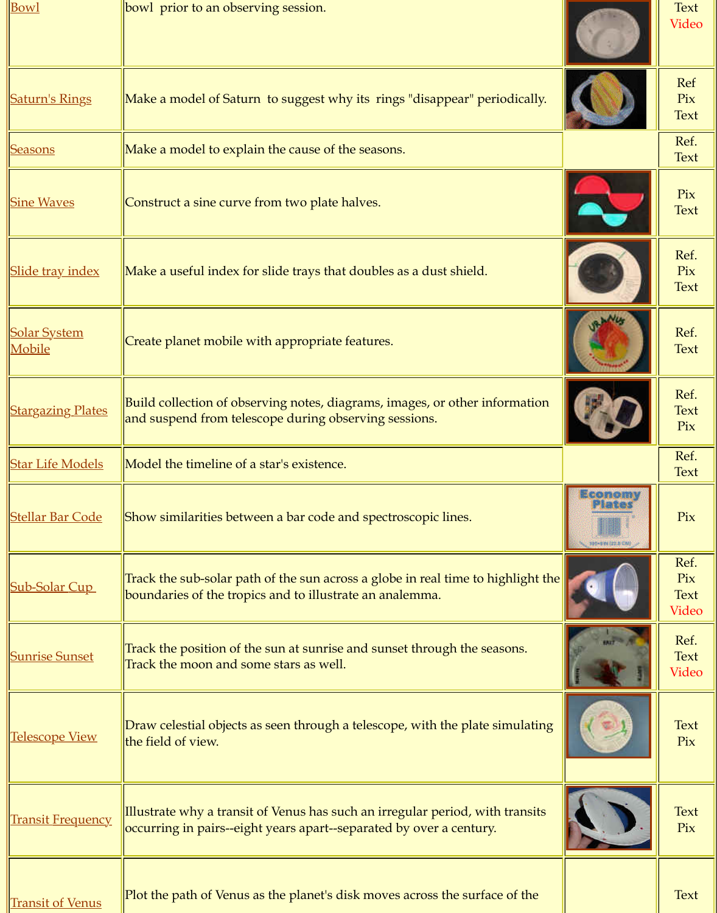| <b>Solar System</b><br>Mobile | Create planet mobile with appropriate features.                                                                                         |
|-------------------------------|-----------------------------------------------------------------------------------------------------------------------------------------|
| <b>Stargazing Plates</b>      | Build collection of observing notes, diagrams, images, or other ir<br>and suspend from telescope during observing sessions.             |
| <b>Star Life Models</b>       | Model the timeline of a star's existence.                                                                                               |
| <b>Stellar Bar Code</b>       | Show similarities between a bar code and spectroscopic lines.                                                                           |
| <b>Sub-Solar Cup</b>          | Track the sub-solar path of the sun across a globe in real time to l<br>boundaries of the tropics and to illustrate an analemma.        |
| <b>Sunrise Sunset</b>         | Track the position of the sun at sunrise and sunset through the se<br>Track the moon and some stars as well.                            |
| <b>Telescope View</b>         | Draw celestial objects as seen through a telescope, with the plate<br>the field of view.                                                |
| <b>Transit Frequency</b>      | Illustrate why a transit of Venus has such an irregular period, wi<br>occurring in pairs--eight years apart--separated by over a centur |
| <b>Transit of Venus</b>       | Plot the path of Venus as the planet's disk moves across the surfa                                                                      |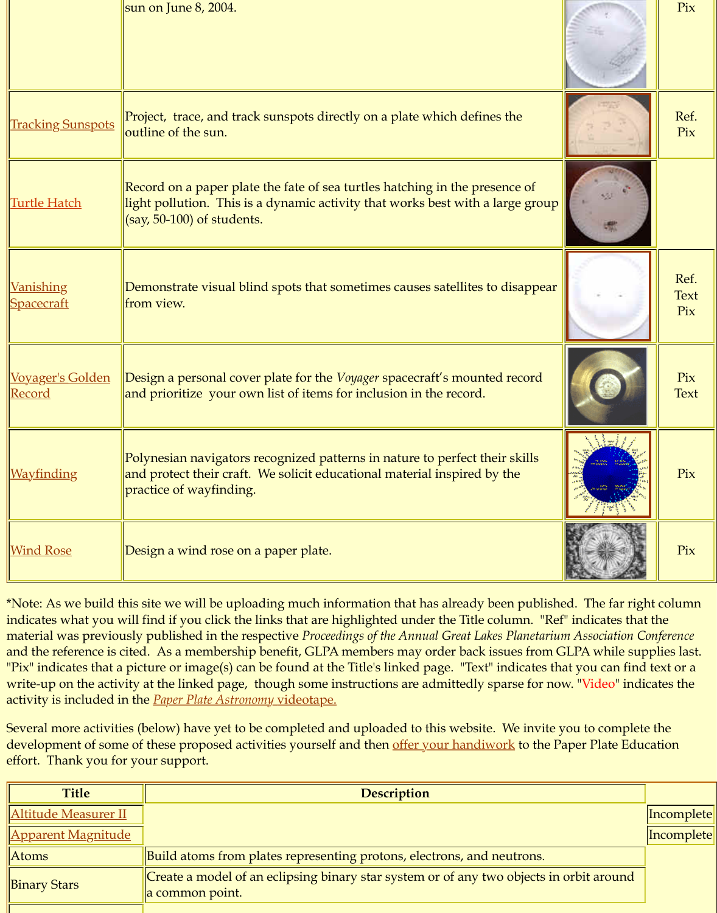| <b>Vanishing</b>   | Demonstrate visual blind spots that sometimes causes satellites t                                                                                                   |
|--------------------|---------------------------------------------------------------------------------------------------------------------------------------------------------------------|
| <u> Spacecraft</u> | from view.                                                                                                                                                          |
| Voyager's Golden   | Design a personal cover plate for the <i>Voyager</i> spacecraft's mount                                                                                             |
| Record             | and prioritize your own list of items for inclusion in the record.                                                                                                  |
| <b>Wayfinding</b>  | Polynesian navigators recognized patterns in nature to perfect th<br>and protect their craft. We solicit educational material inspired b<br>practice of wayfinding. |
| <b>Wind Rose</b>   | Design a wind rose on a paper plate.                                                                                                                                |

\*Note: As we build this site we will be uploading much information that has already beindicates what you will find if you click the links that are highlighted under the Title or material was previously published in the respective *Proceedings of the Annual Great Lak* and the reference is cited. As a membership benefit, GLPA members may order back is ["Pix" indicates that](http://analyzer.depaul.edu/paperplate/Voyager) a picture or image(s) can be found at the Title's linked page. "Text write-up on the activity at the linked page, though some instructions are admittedly sparse for  $\alpha$ activity is included in the *Paper Plate Astronomy* videotape.

Several more activities (below) have yet to be completed and uploaded to this website. [development](http://analyzer.depaul.edu/paperplate/wayfinding.htm) of some of these proposed activities yourself and then offer your handive effort. Thank you for your support.

| <b>Title</b>                  | Description                                                                       |
|-------------------------------|-----------------------------------------------------------------------------------|
| <u>  Altitude Measurer II</u> |                                                                                   |
| <u>Apparent Magnitude</u>     |                                                                                   |
| $\parallel$ Atoms             | Build atoms from plates representing protons, electrons, and                      |
| <b>Binary Stars</b>           | Create a model of an eclipsing binary star system or of any ty<br>a common point. |
|                               |                                                                                   |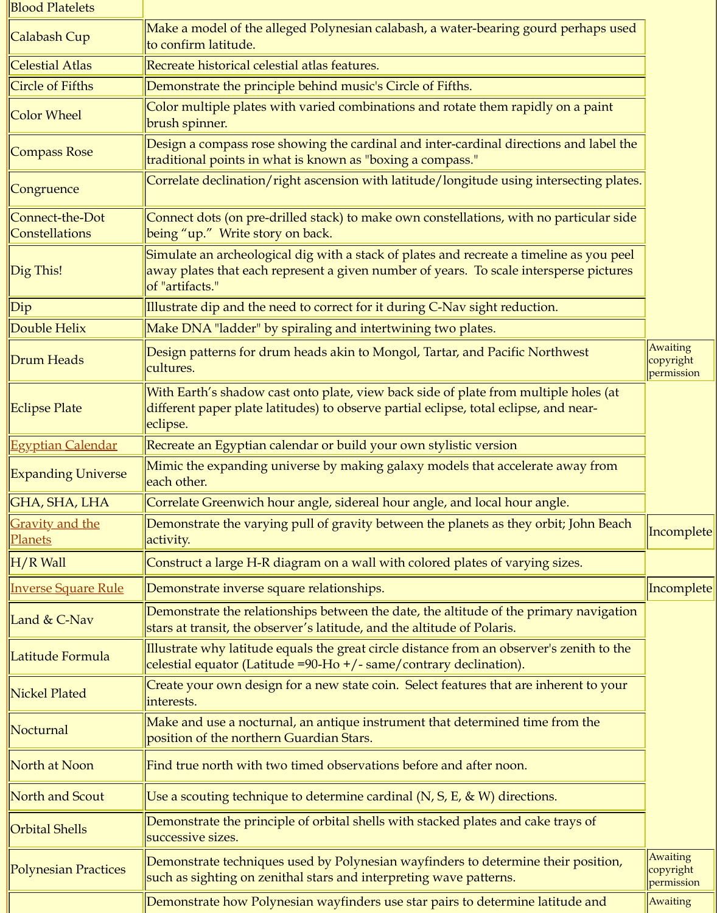|                                   | of "artifacts."                                                                                                                                 |
|-----------------------------------|-------------------------------------------------------------------------------------------------------------------------------------------------|
| $\sqrt{Dip}$                      | Illustrate dip and the need to correct for it during C-Nav sigh                                                                                 |
| Double Helix                      | Make DNA "ladder" by spiraling and intertwining two plates                                                                                      |
| Drum Heads                        | Design patterns for drum heads akin to Mongol, Tartar, and l<br>cultures.                                                                       |
| Eclipse Plate                     | With Earth's shadow cast onto plate, view back side of plate a<br>different paper plate latitudes) to observe partial eclipse, tota<br>eclipse. |
| <b>Egyptian Calendar</b>          | Recreate an Egyptian calendar or build your own stylistic ver                                                                                   |
| <b>Expanding Universe</b>         | Mimic the expanding universe by making galaxy models tha<br>each other.                                                                         |
| GHA, SHA, LHA                     | Correlate Greenwich hour angle, sidereal hour angle, and loc                                                                                    |
| <b>Gravity and the</b><br>Planets | Demonstrate the varying pull of gravity between the planets<br>activity.                                                                        |
| $\parallel$ H/R Wall              | Construct a large H-R diagram on a wall with colored plates                                                                                     |
| <b>Inverse Square Rule</b>        | Demonstrate inverse square relationships.                                                                                                       |
| Land $&$ C-Nav                    | Demonstrate the relationships between the date, the altitude<br>stars at transit, the observer's latitude, and the altitude of Pol              |
| Latitude Formula                  | Illustrate why latitude equals the great circle distance from a<br>celestial equator (Latitude =90-Ho +/- same/contrary declina                 |
| <b>Nickel Plated</b>              | Create your own design for a new state coin. Select features<br>interests.                                                                      |
| Nocturnal                         | Make and use a nocturnal, an antique instrument that detern<br>position of the northern Guardian Stars.                                         |
| North at Noon                     | Find true north with two timed observations before and after                                                                                    |
| North and Scout                   | Use a scouting technique to determine cardinal $(N, S, E, \& W)$                                                                                |
| <b>Orbital Shells</b>             | Demonstrate the principle of orbital shells with stacked plate<br>successive sizes.                                                             |
| <b>Polynesian Practices</b>       | Demonstrate techniques used by Polynesian wayfinders to d<br>such as sighting on zenithal stars and interpreting wave patte                     |
|                                   | Demonstrate how Polynesian wayfinders use star pairs to de                                                                                      |